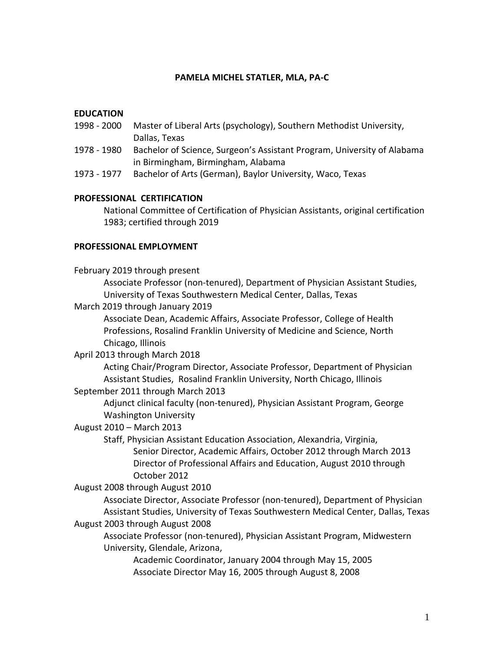#### **PAMELA MICHEL STATLER, MLA, PA-C**

#### **EDUCATION**

- 1998 2000 Master of Liberal Arts (psychology), Southern Methodist University, Dallas, Texas
- 1978 1980 Bachelor of Science, Surgeon's Assistant Program, University of Alabama in Birmingham, Birmingham, Alabama
- 1973 1977 Bachelor of Arts (German), Baylor University, Waco, Texas

#### **PROFESSIONAL CERTIFICATION**

National Committee of Certification of Physician Assistants, original certification 1983; certified through 2019

#### **PROFESSIONAL EMPLOYMENT**

February 2019 through present Associate Professor (non-tenured), Department of Physician Assistant Studies, University of Texas Southwestern Medical Center, Dallas, Texas

March 2019 through January 2019

Associate Dean, Academic Affairs, Associate Professor, College of Health Professions, Rosalind Franklin University of Medicine and Science, North Chicago, Illinois

#### April 2013 through March 2018

Acting Chair/Program Director, Associate Professor, Department of Physician Assistant Studies, Rosalind Franklin University, North Chicago, Illinois

## September 2011 through March 2013

Adjunct clinical faculty (non-tenured), Physician Assistant Program, George Washington University

### August 2010 – March 2013

Staff, Physician Assistant Education Association, Alexandria, Virginia, Senior Director, Academic Affairs, October 2012 through March 2013 Director of Professional Affairs and Education, August 2010 through October 2012

August 2008 through August 2010

Associate Director, Associate Professor (non-tenured), Department of Physician Assistant Studies, University of Texas Southwestern Medical Center, Dallas, Texas

August 2003 through August 2008

Associate Professor (non-tenured), Physician Assistant Program, Midwestern University, Glendale, Arizona,

Academic Coordinator, January 2004 through May 15, 2005 Associate Director May 16, 2005 through August 8, 2008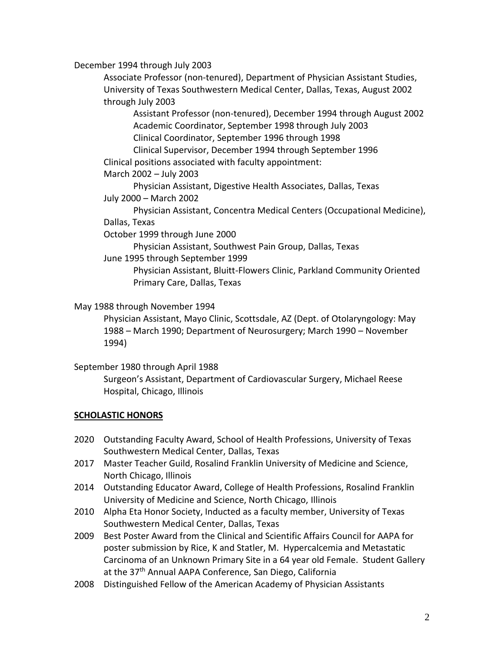December 1994 through July 2003

Associate Professor (non-tenured), Department of Physician Assistant Studies, University of Texas Southwestern Medical Center, Dallas, Texas, August 2002 through July 2003

Assistant Professor (non-tenured), December 1994 through August 2002 Academic Coordinator, September 1998 through July 2003 Clinical Coordinator, September 1996 through 1998

Clinical Supervisor, December 1994 through September 1996 Clinical positions associated with faculty appointment:

March 2002 – July 2003

Physician Assistant, Digestive Health Associates, Dallas, Texas July 2000 – March 2002

Physician Assistant, Concentra Medical Centers (Occupational Medicine), Dallas, Texas

October 1999 through June 2000

Physician Assistant, Southwest Pain Group, Dallas, Texas

June 1995 through September 1999

Physician Assistant, Bluitt-Flowers Clinic, Parkland Community Oriented Primary Care, Dallas, Texas

May 1988 through November 1994

Physician Assistant, Mayo Clinic, Scottsdale, AZ (Dept. of Otolaryngology: May 1988 – March 1990; Department of Neurosurgery; March 1990 – November 1994)

### September 1980 through April 1988

Surgeon's Assistant, Department of Cardiovascular Surgery, Michael Reese Hospital, Chicago, Illinois

### **SCHOLASTIC HONORS**

- 2020 Outstanding Faculty Award, School of Health Professions, University of Texas Southwestern Medical Center, Dallas, Texas
- 2017 Master Teacher Guild, Rosalind Franklin University of Medicine and Science, North Chicago, Illinois
- 2014 Outstanding Educator Award, College of Health Professions, Rosalind Franklin University of Medicine and Science, North Chicago, Illinois
- 2010 Alpha Eta Honor Society, Inducted as a faculty member, University of Texas Southwestern Medical Center, Dallas, Texas
- 2009 Best Poster Award from the Clinical and Scientific Affairs Council for AAPA for poster submission by Rice, K and Statler, M. Hypercalcemia and Metastatic Carcinoma of an Unknown Primary Site in a 64 year old Female. Student Gallery at the 37<sup>th</sup> Annual AAPA Conference, San Diego, California
- 2008 Distinguished Fellow of the American Academy of Physician Assistants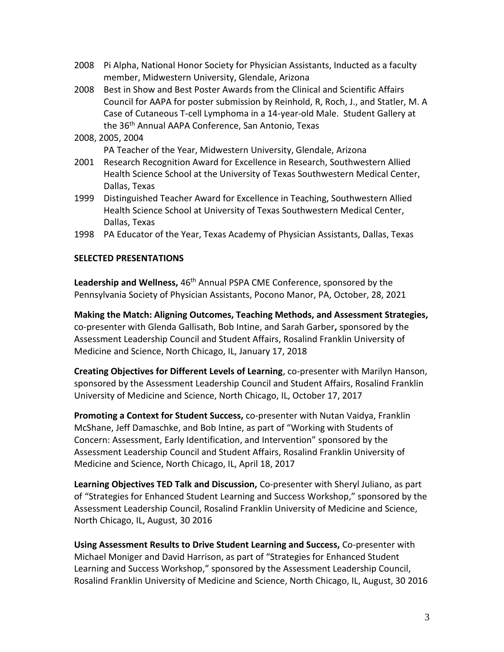- 2008 Pi Alpha, National Honor Society for Physician Assistants, Inducted as a faculty member, Midwestern University, Glendale, Arizona
- 2008 Best in Show and Best Poster Awards from the Clinical and Scientific Affairs Council for AAPA for poster submission by Reinhold, R, Roch, J., and Statler, M. A Case of Cutaneous T-cell Lymphoma in a 14-year-old Male. Student Gallery at the 36<sup>th</sup> Annual AAPA Conference, San Antonio, Texas
- 2008, 2005, 2004

PA Teacher of the Year, Midwestern University, Glendale, Arizona

- 2001 Research Recognition Award for Excellence in Research, Southwestern Allied Health Science School at the University of Texas Southwestern Medical Center, Dallas, Texas
- 1999 Distinguished Teacher Award for Excellence in Teaching, Southwestern Allied Health Science School at University of Texas Southwestern Medical Center, Dallas, Texas
- 1998 PA Educator of the Year, Texas Academy of Physician Assistants, Dallas, Texas

### **SELECTED PRESENTATIONS**

Leadership and Wellness, 46<sup>th</sup> Annual PSPA CME Conference, sponsored by the Pennsylvania Society of Physician Assistants, Pocono Manor, PA, October, 28, 2021

**Making the Match: Aligning Outcomes, Teaching Methods, and Assessment Strategies,**  co-presenter with Glenda Gallisath, Bob Intine, and Sarah Garber**,** sponsored by the Assessment Leadership Council and Student Affairs, Rosalind Franklin University of Medicine and Science, North Chicago, IL, January 17, 2018

**Creating Objectives for Different Levels of Learning**, co-presenter with Marilyn Hanson, sponsored by the Assessment Leadership Council and Student Affairs, Rosalind Franklin University of Medicine and Science, North Chicago, IL, October 17, 2017

**Promoting a Context for Student Success,** co-presenter with Nutan Vaidya, Franklin McShane, Jeff Damaschke, and Bob Intine, as part of "Working with Students of Concern: Assessment, Early Identification, and Intervention" sponsored by the Assessment Leadership Council and Student Affairs, Rosalind Franklin University of Medicine and Science, North Chicago, IL, April 18, 2017

**Learning Objectives TED Talk and Discussion,** Co-presenter with Sheryl Juliano, as part of "Strategies for Enhanced Student Learning and Success Workshop," sponsored by the Assessment Leadership Council, Rosalind Franklin University of Medicine and Science, North Chicago, IL, August, 30 2016

**Using Assessment Results to Drive Student Learning and Success,** Co-presenter with Michael Moniger and David Harrison, as part of "Strategies for Enhanced Student Learning and Success Workshop," sponsored by the Assessment Leadership Council, Rosalind Franklin University of Medicine and Science, North Chicago, IL, August, 30 2016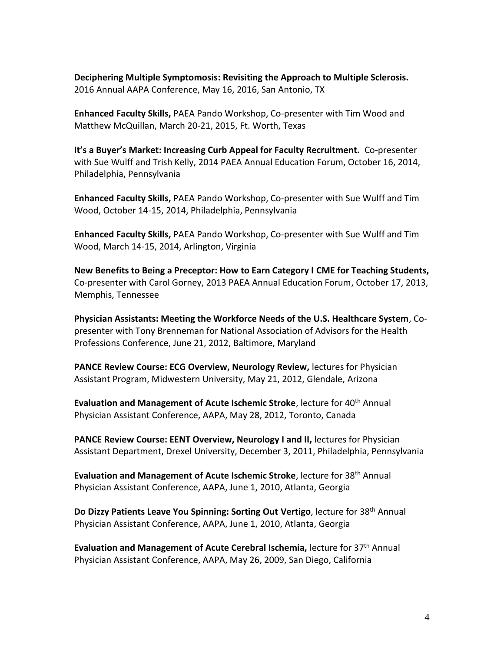**Deciphering Multiple Symptomosis: Revisiting the Approach to Multiple Sclerosis.**  2016 Annual AAPA Conference, May 16, 2016, San Antonio, TX

**Enhanced Faculty Skills,** PAEA Pando Workshop, Co-presenter with Tim Wood and Matthew McQuillan, March 20-21, 2015, Ft. Worth, Texas

**It's a Buyer's Market: Increasing Curb Appeal for Faculty Recruitment.** Co-presenter with Sue Wulff and Trish Kelly, 2014 PAEA Annual Education Forum, October 16, 2014, Philadelphia, Pennsylvania

**Enhanced Faculty Skills,** PAEA Pando Workshop, Co-presenter with Sue Wulff and Tim Wood, October 14-15, 2014, Philadelphia, Pennsylvania

**Enhanced Faculty Skills,** PAEA Pando Workshop, Co-presenter with Sue Wulff and Tim Wood, March 14-15, 2014, Arlington, Virginia

**New Benefits to Being a Preceptor: How to Earn Category I CME for Teaching Students,**  Co-presenter with Carol Gorney, 2013 PAEA Annual Education Forum, October 17, 2013, Memphis, Tennessee

**Physician Assistants: Meeting the Workforce Needs of the U.S. Healthcare System**, Copresenter with Tony Brenneman for National Association of Advisors for the Health Professions Conference, June 21, 2012, Baltimore, Maryland

**PANCE Review Course: ECG Overview, Neurology Review,** lectures for Physician Assistant Program, Midwestern University, May 21, 2012, Glendale, Arizona

**Evaluation and Management of Acute Ischemic Stroke**, lecture for 40<sup>th</sup> Annual Physician Assistant Conference, AAPA, May 28, 2012, Toronto, Canada

**PANCE Review Course: EENT Overview, Neurology I and II, lectures for Physician** Assistant Department, Drexel University, December 3, 2011, Philadelphia, Pennsylvania

**Evaluation and Management of Acute Ischemic Stroke**, lecture for 38<sup>th</sup> Annual Physician Assistant Conference, AAPA, June 1, 2010, Atlanta, Georgia

**Do Dizzy Patients Leave You Spinning: Sorting Out Vertigo**, lecture for 38th Annual Physician Assistant Conference, AAPA, June 1, 2010, Atlanta, Georgia

**Evaluation and Management of Acute Cerebral Ischemia, lecture for 37<sup>th</sup> Annual** Physician Assistant Conference, AAPA, May 26, 2009, San Diego, California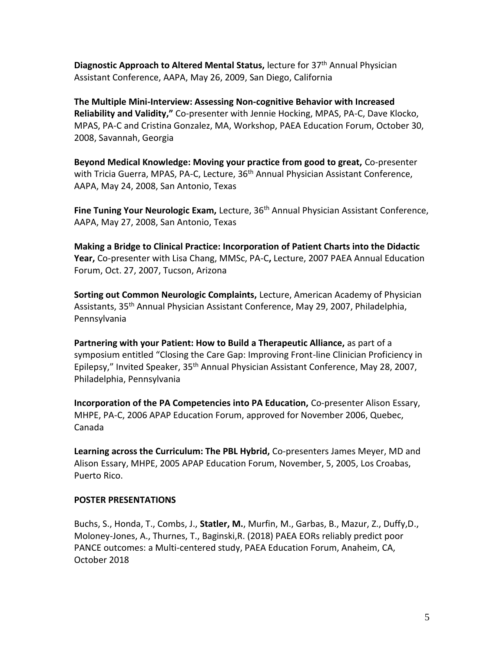**Diagnostic Approach to Altered Mental Status,** lecture for 37th Annual Physician Assistant Conference, AAPA, May 26, 2009, San Diego, California

**The Multiple Mini-Interview: Assessing Non-cognitive Behavior with Increased Reliability and Validity,"** Co-presenter with Jennie Hocking, MPAS, PA-C, Dave Klocko, MPAS, PA-C and Cristina Gonzalez, MA, Workshop, PAEA Education Forum, October 30, 2008, Savannah, Georgia

**Beyond Medical Knowledge: Moving your practice from good to great,** Co-presenter with Tricia Guerra, MPAS, PA-C, Lecture, 36<sup>th</sup> Annual Physician Assistant Conference, AAPA, May 24, 2008, San Antonio, Texas

Fine Tuning Your Neurologic Exam, Lecture, 36<sup>th</sup> Annual Physician Assistant Conference, AAPA, May 27, 2008, San Antonio, Texas

**Making a Bridge to Clinical Practice: Incorporation of Patient Charts into the Didactic Year,** Co-presenter with Lisa Chang, MMSc, PA-C**,** Lecture, 2007 PAEA Annual Education Forum, Oct. 27, 2007, Tucson, Arizona

**Sorting out Common Neurologic Complaints,** Lecture, American Academy of Physician Assistants, 35th Annual Physician Assistant Conference, May 29, 2007, Philadelphia, Pennsylvania

**Partnering with your Patient: How to Build a Therapeutic Alliance,** as part of a symposium entitled "Closing the Care Gap: Improving Front-line Clinician Proficiency in Epilepsy," Invited Speaker, 35<sup>th</sup> Annual Physician Assistant Conference, May 28, 2007, Philadelphia, Pennsylvania

**Incorporation of the PA Competencies into PA Education,** Co-presenter Alison Essary, MHPE, PA-C, 2006 APAP Education Forum, approved for November 2006, Quebec, Canada

**Learning across the Curriculum: The PBL Hybrid,** Co-presenters James Meyer, MD and Alison Essary, MHPE, 2005 APAP Education Forum, November, 5, 2005, Los Croabas, Puerto Rico.

### **POSTER PRESENTATIONS**

Buchs, S., Honda, T., Combs, J., **Statler, M.**, Murfin, M., Garbas, B., Mazur, Z., Duffy,D., Moloney-Jones, A., Thurnes, T., Baginski,R. (2018) PAEA EORs reliably predict poor PANCE outcomes: a Multi-centered study, PAEA Education Forum, Anaheim, CA, October 2018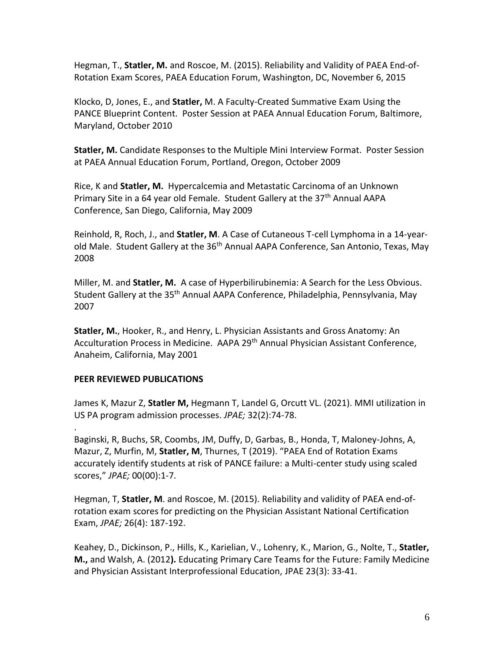Hegman, T., **Statler, M.** and Roscoe, M. (2015). Reliability and Validity of PAEA End-of-Rotation Exam Scores, PAEA Education Forum, Washington, DC, November 6, 2015

Klocko, D, Jones, E., and **Statler,** M. A Faculty-Created Summative Exam Using the PANCE Blueprint Content. Poster Session at PAEA Annual Education Forum, Baltimore, Maryland, October 2010

**Statler, M.** Candidate Responses to the Multiple Mini Interview Format. Poster Session at PAEA Annual Education Forum, Portland, Oregon, October 2009

Rice, K and **Statler, M.** Hypercalcemia and Metastatic Carcinoma of an Unknown Primary Site in a 64 year old Female. Student Gallery at the 37<sup>th</sup> Annual AAPA Conference, San Diego, California, May 2009

Reinhold, R, Roch, J., and **Statler, M**. A Case of Cutaneous T-cell Lymphoma in a 14-yearold Male. Student Gallery at the 36<sup>th</sup> Annual AAPA Conference, San Antonio, Texas, May 2008

Miller, M. and **Statler, M.** A case of Hyperbilirubinemia: A Search for the Less Obvious. Student Gallery at the 35<sup>th</sup> Annual AAPA Conference, Philadelphia, Pennsylvania, May 2007

**Statler, M.**, Hooker, R., and Henry, L. Physician Assistants and Gross Anatomy: An Acculturation Process in Medicine. AAPA 29<sup>th</sup> Annual Physician Assistant Conference, Anaheim, California, May 2001

# **PEER REVIEWED PUBLICATIONS**

.

James K, Mazur Z, **Statler M,** Hegmann T, Landel G, Orcutt VL. (2021). MMI utilization in US PA program admission processes. *JPAE;* 32(2):74-78.

Baginski, R, Buchs, SR, Coombs, JM, Duffy, D, Garbas, B., Honda, T, Maloney-Johns, A, Mazur, Z, Murfin, M, **Statler, M**, Thurnes, T (2019). "PAEA End of Rotation Exams accurately identify students at risk of PANCE failure: a Multi-center study using scaled scores," *JPAE;* 00(00):1-7.

Hegman, T, **Statler, M**. and Roscoe, M. (2015). Reliability and validity of PAEA end-ofrotation exam scores for predicting on the Physician Assistant National Certification Exam, *JPAE;* 26(4): 187-192.

Keahey, D., Dickinson, P., Hills, K., Karielian, V., Lohenry, K., Marion, G., Nolte, T., **Statler, M.,** and Walsh, A. (2012**).** Educating Primary Care Teams for the Future: Family Medicine and Physician Assistant Interprofessional Education, JPAE 23(3): 33-41.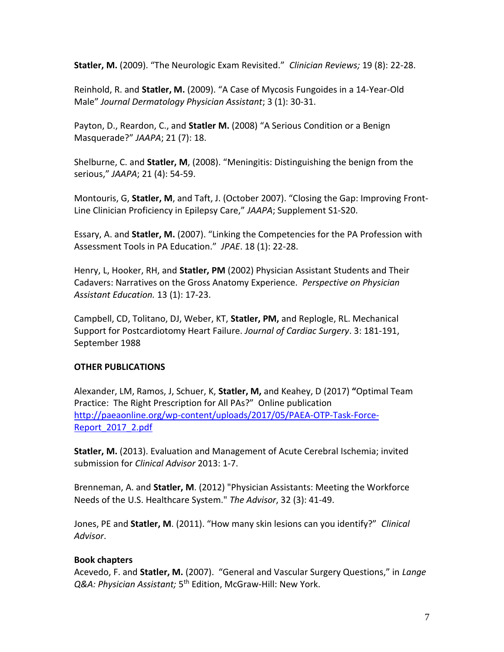**Statler, M.** (2009). "The Neurologic Exam Revisited." *Clinician Reviews;* 19 (8): 22-28.

Reinhold, R. and **Statler, M.** (2009). "A Case of Mycosis Fungoides in a 14-Year-Old Male" *Journal Dermatology Physician Assistant*; 3 (1): 30-31.

Payton, D., Reardon, C., and **Statler M.** (2008) "A Serious Condition or a Benign Masquerade?" *JAAPA*; 21 (7): 18.

Shelburne, C. and **Statler, M**, (2008). "Meningitis: Distinguishing the benign from the serious," *JAAPA*; 21 (4): 54-59.

Montouris, G, **Statler, M**, and Taft, J. (October 2007). "Closing the Gap: Improving Front-Line Clinician Proficiency in Epilepsy Care," *JAAPA*; Supplement S1-S20.

Essary, A. and **Statler, M.** (2007). "Linking the Competencies for the PA Profession with Assessment Tools in PA Education." *JPAE*. 18 (1): 22-28.

Henry, L, Hooker, RH, and **Statler, PM** (2002) Physician Assistant Students and Their Cadavers: Narratives on the Gross Anatomy Experience. *Perspective on Physician Assistant Education.* 13 (1): 17-23.

Campbell, CD, Tolitano, DJ, Weber, KT, **Statler, PM,** and Replogle, RL. Mechanical Support for Postcardiotomy Heart Failure. *Journal of Cardiac Surgery*. 3: 181-191, September 1988

# **OTHER PUBLICATIONS**

Alexander, LM, Ramos, J, Schuer, K, **Statler, M,** and Keahey, D (2017) **"**Optimal Team Practice: The Right Prescription for All PAs?" Online publication [http://paeaonline.org/wp-content/uploads/2017/05/PAEA-OTP-Task-Force-](http://paeaonline.org/wp-content/uploads/2017/05/PAEA-OTP-Task-Force-Report_2017_2.pdf)[Report\\_2017\\_2.pdf](http://paeaonline.org/wp-content/uploads/2017/05/PAEA-OTP-Task-Force-Report_2017_2.pdf)

**Statler, M.** (2013). Evaluation and Management of Acute Cerebral Ischemia; invited submission for *Clinical Advisor* 2013: 1-7.

Brenneman, A. and **Statler, M**. (2012) "Physician Assistants: Meeting the Workforce Needs of the U.S. Healthcare System." *The Advisor*, 32 (3): 41-49.

Jones, PE and **Statler, M**. (2011). "How many skin lesions can you identify?" *Clinical Advisor*.

### **Book chapters**

Acevedo, F. and **Statler, M.** (2007). "General and Vascular Surgery Questions," in *Lange*  Q&A: Physician Assistant; 5<sup>th</sup> Edition, McGraw-Hill: New York.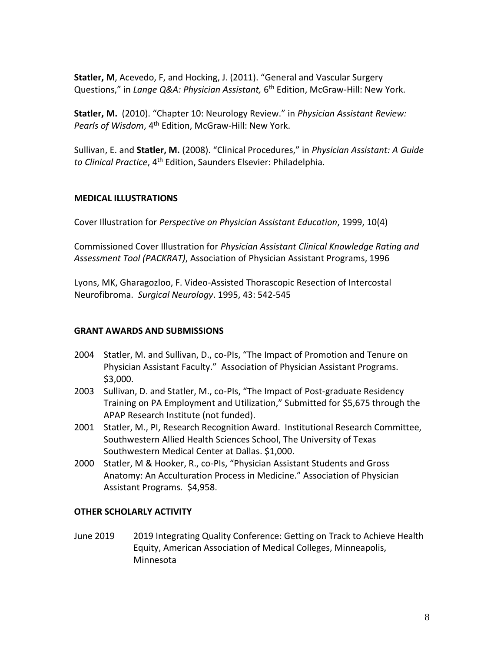**Statler, M**, Acevedo, F, and Hocking, J. (2011). "General and Vascular Surgery Questions," in *Lange Q&A: Physician Assistant,* 6<sup>th</sup> Edition, McGraw-Hill: New York.

**Statler, M.** (2010). "Chapter 10: Neurology Review." in *Physician Assistant Review: Pearls of Wisdom*, 4th Edition, McGraw-Hill: New York.

Sullivan, E. and **Statler, M.** (2008). "Clinical Procedures," in *Physician Assistant: A Guide to Clinical Practice*, 4th Edition, Saunders Elsevier: Philadelphia.

## **MEDICAL ILLUSTRATIONS**

Cover Illustration for *Perspective on Physician Assistant Education*, 1999, 10(4)

Commissioned Cover Illustration for *Physician Assistant Clinical Knowledge Rating and Assessment Tool (PACKRAT)*, Association of Physician Assistant Programs, 1996

Lyons, MK, Gharagozloo, F. Video-Assisted Thorascopic Resection of Intercostal Neurofibroma. *Surgical Neurology*. 1995, 43: 542-545

### **GRANT AWARDS AND SUBMISSIONS**

- 2004 Statler, M. and Sullivan, D., co-PIs, "The Impact of Promotion and Tenure on Physician Assistant Faculty." Association of Physician Assistant Programs. \$3,000.
- 2003 Sullivan, D. and Statler, M., co-PIs, "The Impact of Post-graduate Residency Training on PA Employment and Utilization," Submitted for \$5,675 through the APAP Research Institute (not funded).
- 2001 Statler, M., PI, Research Recognition Award. Institutional Research Committee, Southwestern Allied Health Sciences School, The University of Texas Southwestern Medical Center at Dallas. \$1,000.
- 2000 Statler, M & Hooker, R., co-PIs, "Physician Assistant Students and Gross Anatomy: An Acculturation Process in Medicine." Association of Physician Assistant Programs. \$4,958.

# **OTHER SCHOLARLY ACTIVITY**

June 2019 2019 Integrating Quality Conference: Getting on Track to Achieve Health Equity, American Association of Medical Colleges, Minneapolis, Minnesota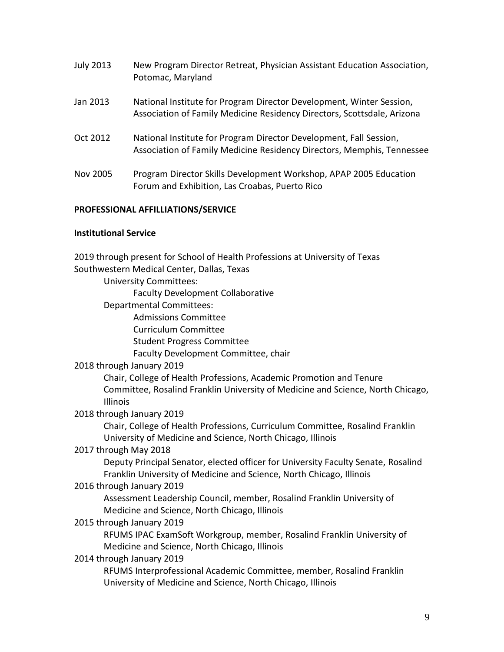| <b>July 2013</b> | New Program Director Retreat, Physician Assistant Education Association,<br>Potomac, Maryland                                                   |
|------------------|-------------------------------------------------------------------------------------------------------------------------------------------------|
| Jan 2013         | National Institute for Program Director Development, Winter Session,<br>Association of Family Medicine Residency Directors, Scottsdale, Arizona |
| Oct 2012         | National Institute for Program Director Development, Fall Session,<br>Association of Family Medicine Residency Directors, Memphis, Tennessee    |
| Nov 2005         | Program Director Skills Development Workshop, APAP 2005 Education<br>Forum and Exhibition, Las Croabas, Puerto Rico                             |

### **PROFESSIONAL AFFILLIATIONS/SERVICE**

### **Institutional Service**

2019 through present for School of Health Professions at University of Texas Southwestern Medical Center, Dallas, Texas

University Committees:

Faculty Development Collaborative

- Departmental Committees:
	- Admissions Committee
	- Curriculum Committee
	- Student Progress Committee
	- Faculty Development Committee, chair

#### 2018 through January 2019

Chair, College of Health Professions, Academic Promotion and Tenure Committee, Rosalind Franklin University of Medicine and Science, North Chicago, Illinois

### 2018 through January 2019

Chair, College of Health Professions, Curriculum Committee, Rosalind Franklin University of Medicine and Science, North Chicago, Illinois

### 2017 through May 2018

Deputy Principal Senator, elected officer for University Faculty Senate, Rosalind Franklin University of Medicine and Science, North Chicago, Illinois

#### 2016 through January 2019

Assessment Leadership Council, member, Rosalind Franklin University of Medicine and Science, North Chicago, Illinois

### 2015 through January 2019

RFUMS IPAC ExamSoft Workgroup, member, Rosalind Franklin University of Medicine and Science, North Chicago, Illinois

#### 2014 through January 2019

RFUMS Interprofessional Academic Committee, member, Rosalind Franklin University of Medicine and Science, North Chicago, Illinois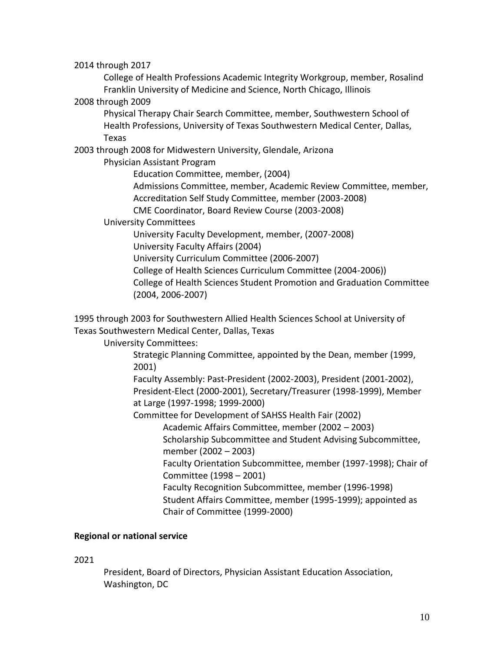2014 through 2017

College of Health Professions Academic Integrity Workgroup, member, Rosalind Franklin University of Medicine and Science, North Chicago, Illinois

2008 through 2009

Physical Therapy Chair Search Committee, member, Southwestern School of Health Professions, University of Texas Southwestern Medical Center, Dallas, Texas

2003 through 2008 for Midwestern University, Glendale, Arizona

Physician Assistant Program

Education Committee, member, (2004) Admissions Committee, member, Academic Review Committee, member, Accreditation Self Study Committee, member (2003-2008) CME Coordinator, Board Review Course (2003-2008)

University Committees

University Faculty Development, member, (2007-2008) University Faculty Affairs (2004) University Curriculum Committee (2006-2007)

College of Health Sciences Curriculum Committee (2004-2006))

College of Health Sciences Student Promotion and Graduation Committee (2004, 2006-2007)

1995 through 2003 for Southwestern Allied Health Sciences School at University of Texas Southwestern Medical Center, Dallas, Texas

University Committees:

Strategic Planning Committee, appointed by the Dean, member (1999, 2001)

Faculty Assembly: Past-President (2002-2003), President (2001-2002), President-Elect (2000-2001), Secretary/Treasurer (1998-1999), Member at Large (1997-1998; 1999-2000)

Committee for Development of SAHSS Health Fair (2002)

Academic Affairs Committee, member (2002 – 2003)

Scholarship Subcommittee and Student Advising Subcommittee, member (2002 – 2003)

Faculty Orientation Subcommittee, member (1997-1998); Chair of Committee (1998 – 2001)

Faculty Recognition Subcommittee, member (1996-1998) Student Affairs Committee, member (1995-1999); appointed as Chair of Committee (1999-2000)

### **Regional or national service**

2021

President, Board of Directors, Physician Assistant Education Association, Washington, DC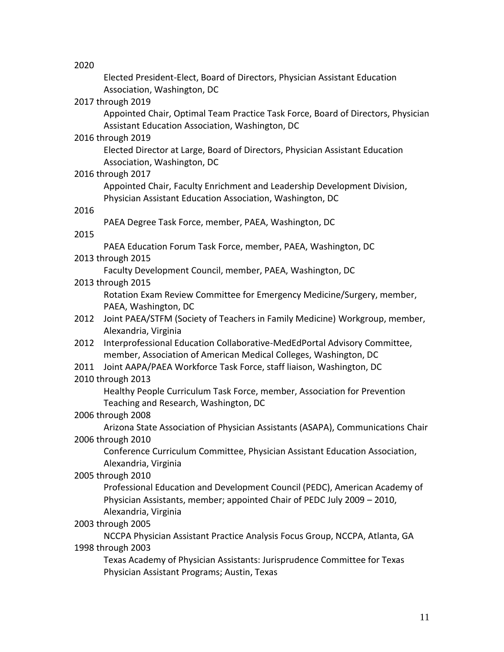2020

Elected President-Elect, Board of Directors, Physician Assistant Education Association, Washington, DC

### 2017 through 2019

Appointed Chair, Optimal Team Practice Task Force, Board of Directors, Physician Assistant Education Association, Washington, DC

## 2016 through 2019

Elected Director at Large, Board of Directors, Physician Assistant Education Association, Washington, DC

## 2016 through 2017

Appointed Chair, Faculty Enrichment and Leadership Development Division, Physician Assistant Education Association, Washington, DC

## 2016

PAEA Degree Task Force, member, PAEA, Washington, DC

### 2015

PAEA Education Forum Task Force, member, PAEA, Washington, DC

## 2013 through 2015

Faculty Development Council, member, PAEA, Washington, DC

# 2013 through 2015

Rotation Exam Review Committee for Emergency Medicine/Surgery, member, PAEA, Washington, DC

- 2012 Joint PAEA/STFM (Society of Teachers in Family Medicine) Workgroup, member, Alexandria, Virginia
- 2012 Interprofessional Education Collaborative-MedEdPortal Advisory Committee, member, Association of American Medical Colleges, Washington, DC
- 2011 Joint AAPA/PAEA Workforce Task Force, staff liaison, Washington, DC

# 2010 through 2013

Healthy People Curriculum Task Force, member, Association for Prevention Teaching and Research, Washington, DC

# 2006 through 2008

Arizona State Association of Physician Assistants (ASAPA), Communications Chair 2006 through 2010

Conference Curriculum Committee, Physician Assistant Education Association, Alexandria, Virginia

# 2005 through 2010

Professional Education and Development Council (PEDC), American Academy of Physician Assistants, member; appointed Chair of PEDC July 2009 – 2010, Alexandria, Virginia

# 2003 through 2005

NCCPA Physician Assistant Practice Analysis Focus Group, NCCPA, Atlanta, GA 1998 through 2003

Texas Academy of Physician Assistants: Jurisprudence Committee for Texas Physician Assistant Programs; Austin, Texas